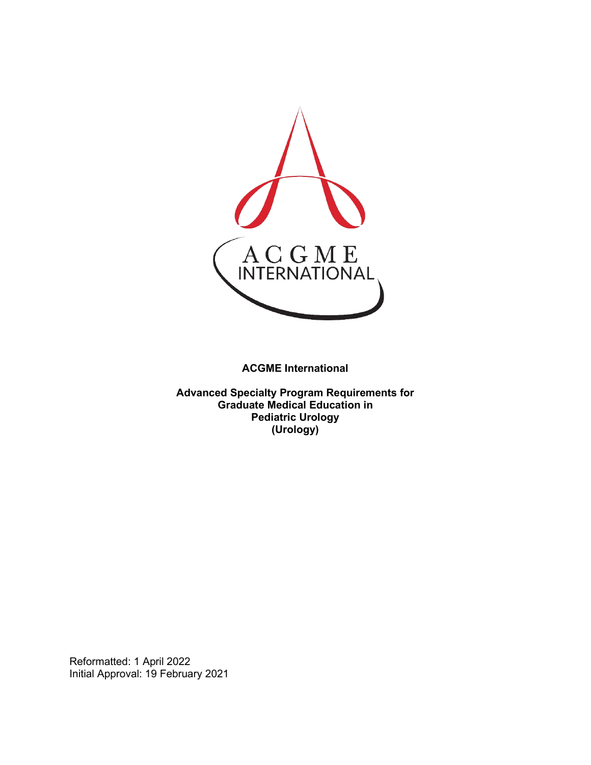

**ACGME International** 

**Advanced Specialty Program Requirements for Graduate Medical Education in Pediatric Urology (Urology)**

Reformatted: 1 April 2022 Initial Approval: 19 February 2021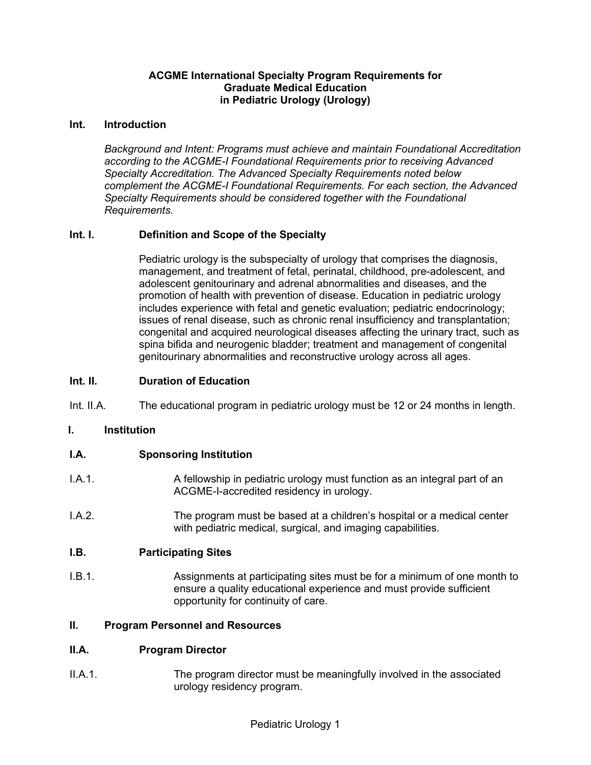### **ACGME International Specialty Program Requirements for Graduate Medical Education in Pediatric Urology (Urology)**

#### **Int. Introduction**

*Background and Intent: Programs must achieve and maintain Foundational Accreditation according to the ACGME-I Foundational Requirements prior to receiving Advanced Specialty Accreditation. The Advanced Specialty Requirements noted below complement the ACGME-I Foundational Requirements. For each section, the Advanced Specialty Requirements should be considered together with the Foundational Requirements.*

### **Int. I. Definition and Scope of the Specialty**

Pediatric urology is the subspecialty of urology that comprises the diagnosis, management, and treatment of fetal, perinatal, childhood, pre-adolescent, and adolescent genitourinary and adrenal abnormalities and diseases, and the promotion of health with prevention of disease. Education in pediatric urology includes experience with fetal and genetic evaluation; pediatric endocrinology; issues of renal disease, such as chronic renal insufficiency and transplantation; congenital and acquired neurological diseases affecting the urinary tract, such as spina bifida and neurogenic bladder; treatment and management of congenital genitourinary abnormalities and reconstructive urology across all ages.

#### **Int. II. Duration of Education**

Int. II.A. The educational program in pediatric urology must be 12 or 24 months in length.

### **I. Institution**

### **I.A. Sponsoring Institution**

- I.A.1. A fellowship in pediatric urology must function as an integral part of an ACGME-I-accredited residency in urology.
- I.A.2. The program must be based at a children's hospital or a medical center with pediatric medical, surgical, and imaging capabilities.

#### **I.B. Participating Sites**

I.B.1. Assignments at participating sites must be for a minimum of one month to ensure a quality educational experience and must provide sufficient opportunity for continuity of care.

#### **II. Program Personnel and Resources**

### **II.A. Program Director**

II.A.1. The program director must be meaningfully involved in the associated urology residency program.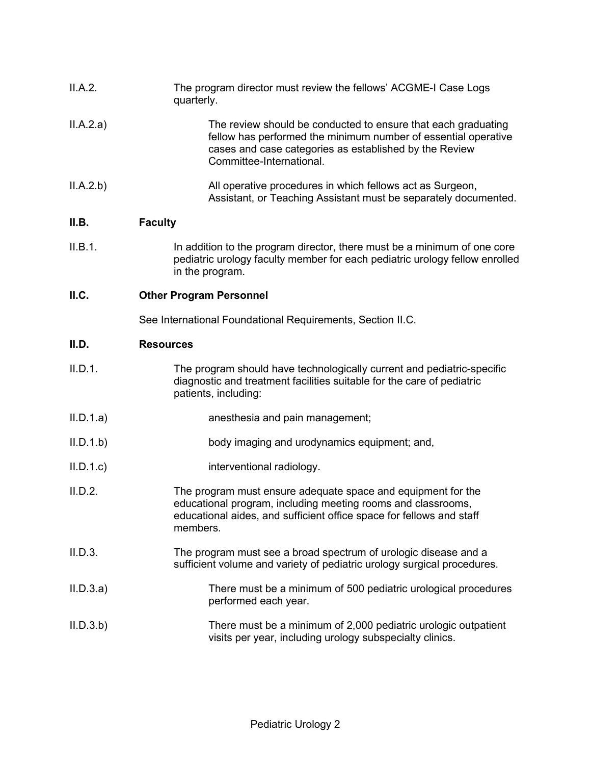| II.A.2.   | The program director must review the fellows' ACGME-I Case Logs<br>quarterly.                                                                                                                                         |
|-----------|-----------------------------------------------------------------------------------------------------------------------------------------------------------------------------------------------------------------------|
| II.A.2.a) | The review should be conducted to ensure that each graduating<br>fellow has performed the minimum number of essential operative<br>cases and case categories as established by the Review<br>Committee-International. |
| II.A.2.b) | All operative procedures in which fellows act as Surgeon,<br>Assistant, or Teaching Assistant must be separately documented.                                                                                          |
| II.B.     | <b>Faculty</b>                                                                                                                                                                                                        |
| II.B.1.   | In addition to the program director, there must be a minimum of one core<br>pediatric urology faculty member for each pediatric urology fellow enrolled<br>in the program.                                            |
| II.C.     | <b>Other Program Personnel</b>                                                                                                                                                                                        |
|           | See International Foundational Requirements, Section II.C.                                                                                                                                                            |
| II.D.     | <b>Resources</b>                                                                                                                                                                                                      |
| II.D.1.   | The program should have technologically current and pediatric-specific<br>diagnostic and treatment facilities suitable for the care of pediatric<br>patients, including:                                              |
| II.D.1.a) | anesthesia and pain management;                                                                                                                                                                                       |
| II.D.1.b  | body imaging and urodynamics equipment; and,                                                                                                                                                                          |
| II.D.1.c  | interventional radiology.                                                                                                                                                                                             |
| II.D.2.   | The program must ensure adequate space and equipment for the<br>educational program, including meeting rooms and classrooms,<br>educational aides, and sufficient office space for fellows and staff<br>members.      |
| II.D.3.   | The program must see a broad spectrum of urologic disease and a<br>sufficient volume and variety of pediatric urology surgical procedures.                                                                            |
| II.D.3.a) | There must be a minimum of 500 pediatric urological procedures<br>performed each year.                                                                                                                                |
| II.D.3.b) | There must be a minimum of 2,000 pediatric urologic outpatient<br>visits per year, including urology subspecialty clinics.                                                                                            |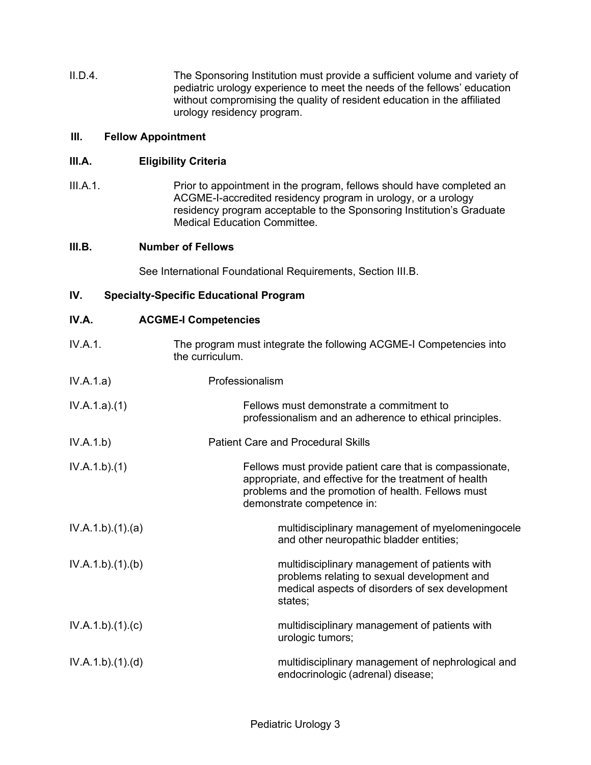II.D.4. The Sponsoring Institution must provide a sufficient volume and variety of pediatric urology experience to meet the needs of the fellows' education without compromising the quality of resident education in the affiliated urology residency program.

### **III. Fellow Appointment**

## **III.A. Eligibility Criteria**

III.A.1. Prior to appointment in the program, fellows should have completed an ACGME-I-accredited residency program in urology, or a urology residency program acceptable to the Sponsoring Institution's Graduate Medical Education Committee.

## **III.B. Number of Fellows**

See International Foundational Requirements, Section III.B.

## **IV. Specialty-Specific Educational Program**

| IV.A. | <b>ACGME-I Competencies</b> |
|-------|-----------------------------|
|-------|-----------------------------|

- IV.A.1. The program must integrate the following ACGME-I Competencies into the curriculum.
- IV.A.1.a) Professionalism
- IV.A.1.a).(1) Fellows must demonstrate a commitment to professionalism and an adherence to ethical principles. IV.A.1.b) Patient Care and Procedural Skills
- IV.A.1.b).(1) Fellows must provide patient care that is compassionate, appropriate, and effective for the treatment of health problems and the promotion of health. Fellows must demonstrate competence in:
- IV.A.1.b).(1).(a) multidisciplinary management of myelomeningocele and other neuropathic bladder entities;
- IV.A.1.b).(1).(b) multidisciplinary management of patients with problems relating to sexual development and medical aspects of disorders of sex development states; IV.A.1.b).(1).(c) multidisciplinary management of patients with urologic tumors;
- IV.A.1.b).(1).(d) multidisciplinary management of nephrological and endocrinologic (adrenal) disease;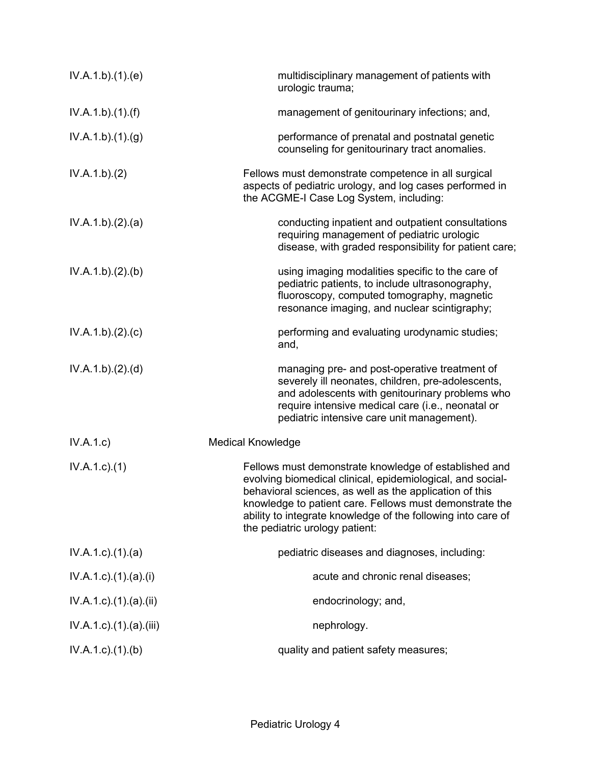| IV.A.1.b)(1)(e)                   | multidisciplinary management of patients with<br>urologic trauma;                                                                                                                                                                                                                                                                           |
|-----------------------------------|---------------------------------------------------------------------------------------------------------------------------------------------------------------------------------------------------------------------------------------------------------------------------------------------------------------------------------------------|
| IV.A.1.b)(1)(f)                   | management of genitourinary infections; and,                                                                                                                                                                                                                                                                                                |
| IV.A.1.b)(1)(g)                   | performance of prenatal and postnatal genetic<br>counseling for genitourinary tract anomalies.                                                                                                                                                                                                                                              |
| IV.A.1.b)(2)                      | Fellows must demonstrate competence in all surgical<br>aspects of pediatric urology, and log cases performed in<br>the ACGME-I Case Log System, including:                                                                                                                                                                                  |
| IV.A.1.b)(2).(a)                  | conducting inpatient and outpatient consultations<br>requiring management of pediatric urologic<br>disease, with graded responsibility for patient care;                                                                                                                                                                                    |
| IV.A.1.b)(2)(b)                   | using imaging modalities specific to the care of<br>pediatric patients, to include ultrasonography,<br>fluoroscopy, computed tomography, magnetic<br>resonance imaging, and nuclear scintigraphy;                                                                                                                                           |
| IV.A.1.b)(2).(c)                  | performing and evaluating urodynamic studies;<br>and,                                                                                                                                                                                                                                                                                       |
| IV.A.1.b)(2).(d)                  | managing pre- and post-operative treatment of<br>severely ill neonates, children, pre-adolescents,<br>and adolescents with genitourinary problems who<br>require intensive medical care (i.e., neonatal or<br>pediatric intensive care unit management).                                                                                    |
| IV.A.1.c)                         | <b>Medical Knowledge</b>                                                                                                                                                                                                                                                                                                                    |
| $IV.A.1.c.$ (1)                   | Fellows must demonstrate knowledge of established and<br>evolving biomedical clinical, epidemiological, and social-<br>behavioral sciences, as well as the application of this<br>knowledge to patient care. Fellows must demonstrate the<br>ability to integrate knowledge of the following into care of<br>the pediatric urology patient: |
| $IV.A.1.c$ . $(1).$ $(a)$         | pediatric diseases and diagnoses, including:                                                                                                                                                                                                                                                                                                |
| $IV.A.1.c$ ). $(1).$ $(a).$ $(i)$ | acute and chronic renal diseases;                                                                                                                                                                                                                                                                                                           |
| $IV.A.1.c$ ). $(1).$ (a). $(ii)$  | endocrinology; and,                                                                                                                                                                                                                                                                                                                         |
| IV.A.1.c).(1).(a).(iii)           | nephrology.                                                                                                                                                                                                                                                                                                                                 |
| $IV.A.1.c$ . $(1).$ (b)           | quality and patient safety measures;                                                                                                                                                                                                                                                                                                        |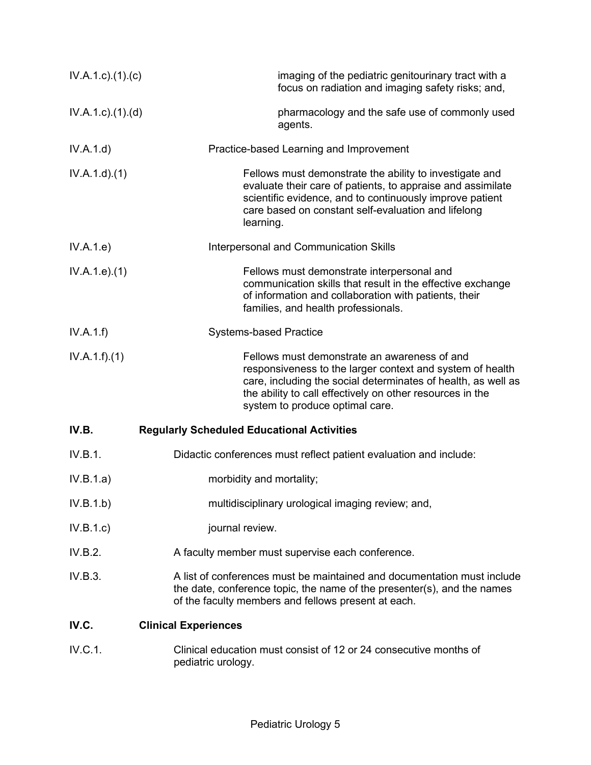| $IV.A.1.c$ ). $(1).$ (c)  | imaging of the pediatric genitourinary tract with a<br>focus on radiation and imaging safety risks; and,                                                                                                                                                                   |
|---------------------------|----------------------------------------------------------------------------------------------------------------------------------------------------------------------------------------------------------------------------------------------------------------------------|
| $IV.A.1.c$ . $(1).$ $(d)$ | pharmacology and the safe use of commonly used<br>agents.                                                                                                                                                                                                                  |
| IV.A.1.d)                 | Practice-based Learning and Improvement                                                                                                                                                                                                                                    |
| IV.A.1.d)(1)              | Fellows must demonstrate the ability to investigate and<br>evaluate their care of patients, to appraise and assimilate<br>scientific evidence, and to continuously improve patient<br>care based on constant self-evaluation and lifelong<br>learning.                     |
| IV.A.1.e)                 | Interpersonal and Communication Skills                                                                                                                                                                                                                                     |
| IV.A.1.e. (1)             | Fellows must demonstrate interpersonal and<br>communication skills that result in the effective exchange<br>of information and collaboration with patients, their<br>families, and health professionals.                                                                   |
| IV.A.1.f                  | <b>Systems-based Practice</b>                                                                                                                                                                                                                                              |
| IV.A.1.f)(1)              | Fellows must demonstrate an awareness of and<br>responsiveness to the larger context and system of health<br>care, including the social determinates of health, as well as<br>the ability to call effectively on other resources in the<br>system to produce optimal care. |
| IV.B.                     | <b>Regularly Scheduled Educational Activities</b>                                                                                                                                                                                                                          |
| IV.B.1.                   | Didactic conferences must reflect patient evaluation and include:                                                                                                                                                                                                          |
| IV.B.1.a)                 | morbidity and mortality;                                                                                                                                                                                                                                                   |
| IV.B.1.b)                 | multidisciplinary urological imaging review; and,                                                                                                                                                                                                                          |
| IV.B.1.c)                 | journal review.                                                                                                                                                                                                                                                            |
| IV.B.2.                   | A faculty member must supervise each conference.                                                                                                                                                                                                                           |
| IV.B.3.                   | A list of conferences must be maintained and documentation must include<br>the date, conference topic, the name of the presenter(s), and the names<br>of the faculty members and fellows present at each.                                                                  |
| IV.C.                     | <b>Clinical Experiences</b>                                                                                                                                                                                                                                                |
| IV.C.1.                   | Clinical education must consist of 12 or 24 consecutive months of<br>pediatric urology.                                                                                                                                                                                    |